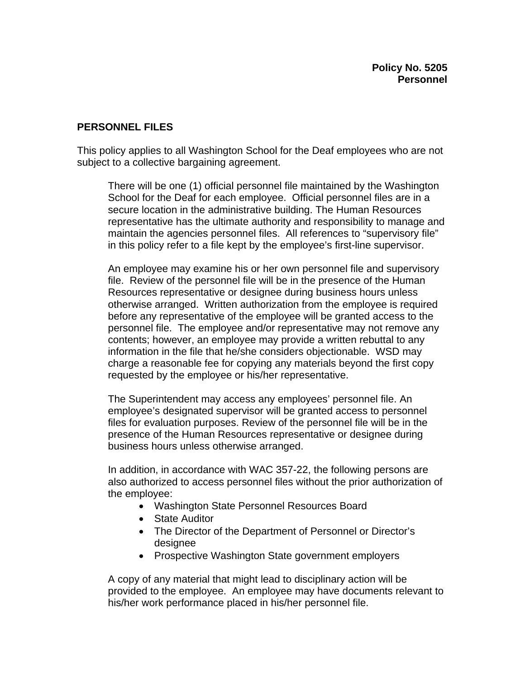## **PERSONNEL FILES**

This policy applies to all Washington School for the Deaf employees who are not subject to a collective bargaining agreement.

There will be one (1) official personnel file maintained by the Washington School for the Deaf for each employee. Official personnel files are in a secure location in the administrative building. The Human Resources representative has the ultimate authority and responsibility to manage and maintain the agencies personnel files. All references to "supervisory file" in this policy refer to a file kept by the employee's first-line supervisor.

An employee may examine his or her own personnel file and supervisory file. Review of the personnel file will be in the presence of the Human Resources representative or designee during business hours unless otherwise arranged. Written authorization from the employee is required before any representative of the employee will be granted access to the personnel file. The employee and/or representative may not remove any contents; however, an employee may provide a written rebuttal to any information in the file that he/she considers objectionable. WSD may charge a reasonable fee for copying any materials beyond the first copy requested by the employee or his/her representative.

The Superintendent may access any employees' personnel file. An employee's designated supervisor will be granted access to personnel files for evaluation purposes. Review of the personnel file will be in the presence of the Human Resources representative or designee during business hours unless otherwise arranged.

In addition, in accordance with WAC 357-22, the following persons are also authorized to access personnel files without the prior authorization of the employee:

- Washington State Personnel Resources Board
- State Auditor
- The Director of the Department of Personnel or Director's designee
- Prospective Washington State government employers

A copy of any material that might lead to disciplinary action will be provided to the employee. An employee may have documents relevant to his/her work performance placed in his/her personnel file.